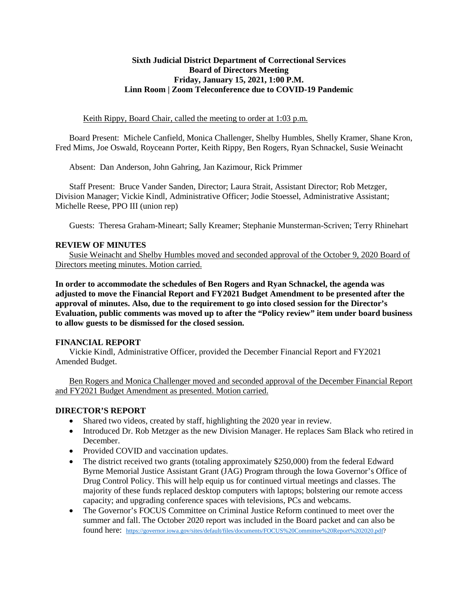## **Sixth Judicial District Department of Correctional Services Board of Directors Meeting Friday, January 15, 2021, 1:00 P.M. Linn Room | Zoom Teleconference due to COVID-19 Pandemic**

### Keith Rippy, Board Chair, called the meeting to order at 1:03 p.m.

Board Present: Michele Canfield, Monica Challenger, Shelby Humbles, Shelly Kramer, Shane Kron, Fred Mims, Joe Oswald, Royceann Porter, Keith Rippy, Ben Rogers, Ryan Schnackel, Susie Weinacht

Absent: Dan Anderson, John Gahring, Jan Kazimour, Rick Primmer

Staff Present: Bruce Vander Sanden, Director; Laura Strait, Assistant Director; Rob Metzger, Division Manager; Vickie Kindl, Administrative Officer; Jodie Stoessel, Administrative Assistant; Michelle Reese, PPO III (union rep)

Guests: Theresa Graham-Mineart; Sally Kreamer; Stephanie Munsterman-Scriven; Terry Rhinehart

#### **REVIEW OF MINUTES**

Susie Weinacht and Shelby Humbles moved and seconded approval of the October 9, 2020 Board of Directors meeting minutes. Motion carried.

**In order to accommodate the schedules of Ben Rogers and Ryan Schnackel, the agenda was adjusted to move the Financial Report and FY2021 Budget Amendment to be presented after the approval of minutes. Also, due to the requirement to go into closed session for the Director's Evaluation, public comments was moved up to after the "Policy review" item under board business to allow guests to be dismissed for the closed session.** 

## **FINANCIAL REPORT**

Vickie Kindl, Administrative Officer, provided the December Financial Report and FY2021 Amended Budget.

Ben Rogers and Monica Challenger moved and seconded approval of the December Financial Report and FY2021 Budget Amendment as presented. Motion carried.

## **DIRECTOR'S REPORT**

- Shared two videos, created by staff, highlighting the 2020 year in review.
- Introduced Dr. Rob Metzger as the new Division Manager. He replaces Sam Black who retired in December.
- Provided COVID and vaccination updates.
- The district received two grants (totaling approximately \$250,000) from the federal Edward Byrne Memorial Justice Assistant Grant (JAG) Program through the Iowa Governor's Office of Drug Control Policy. This will help equip us for continued virtual meetings and classes. The majority of these funds replaced desktop computers with laptops; bolstering our remote access capacity; and upgrading conference spaces with televisions, PCs and webcams.
- The Governor's FOCUS Committee on Criminal Justice Reform continued to meet over the summer and fall. The October 2020 report was included in the Board packet and can also be found here: [https://governor.iowa.gov/sites/default/files/documents/FOCUS%20Committee%20Report%202020.pdf?](https://governor.iowa.gov/sites/default/files/documents/FOCUS%20Committee%20Report%202020.pdf)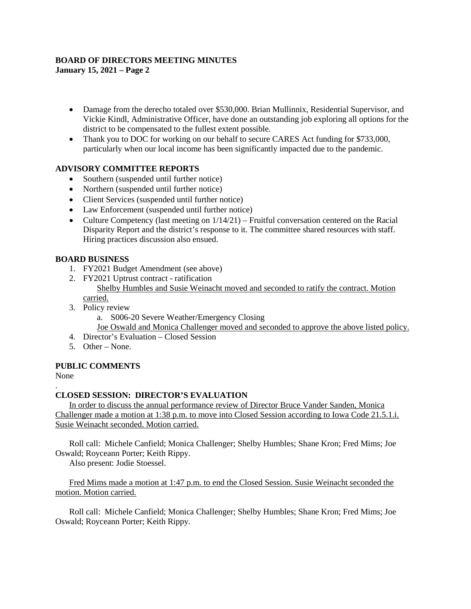# **BOARD OF DIRECTORS MEETING MINUTES**

**January 15, 2021 – Page 2**

- Damage from the derecho totaled over \$530,000. Brian Mullinnix, Residential Supervisor, and Vickie Kindl, Administrative Officer, have done an outstanding job exploring all options for the district to be compensated to the fullest extent possible.
- Thank you to DOC for working on our behalf to secure CARES Act funding for \$733,000, particularly when our local income has been significantly impacted due to the pandemic.

## **ADVISORY COMMITTEE REPORTS**

- Southern (suspended until further notice)
- Northern (suspended until further notice)
- Client Services (suspended until further notice)
- Law Enforcement (suspended until further notice)
- Culture Competency (last meeting on  $1/14/21$ ) Fruitful conversation centered on the Racial Disparity Report and the district's response to it. The committee shared resources with staff. Hiring practices discussion also ensued.

## **BOARD BUSINESS**

- 1. FY2021 Budget Amendment (see above)
- 2. FY2021 Uptrust contract ratification Shelby Humbles and Susie Weinacht moved and seconded to ratify the contract. Motion carried.
- 3. Policy review
	- a. S006-20 Severe Weather/Emergency Closing
	- Joe Oswald and Monica Challenger moved and seconded to approve the above listed policy.
- 4. Director's Evaluation Closed Session
- 5. Other None.

# **PUBLIC COMMENTS**

None

#### . **CLOSED SESSION: DIRECTOR'S EVALUATION**

In order to discuss the annual performance review of Director Bruce Vander Sanden, Monica Challenger made a motion at 1:38 p.m. to move into Closed Session according to Iowa Code 21.5.1.i. Susie Weinacht seconded. Motion carried.

Roll call: Michele Canfield; Monica Challenger; Shelby Humbles; Shane Kron; Fred Mims; Joe Oswald; Royceann Porter; Keith Rippy.

Also present: Jodie Stoessel.

Fred Mims made a motion at 1:47 p.m. to end the Closed Session. Susie Weinacht seconded the motion. Motion carried.

Roll call: Michele Canfield; Monica Challenger; Shelby Humbles; Shane Kron; Fred Mims; Joe Oswald; Royceann Porter; Keith Rippy.